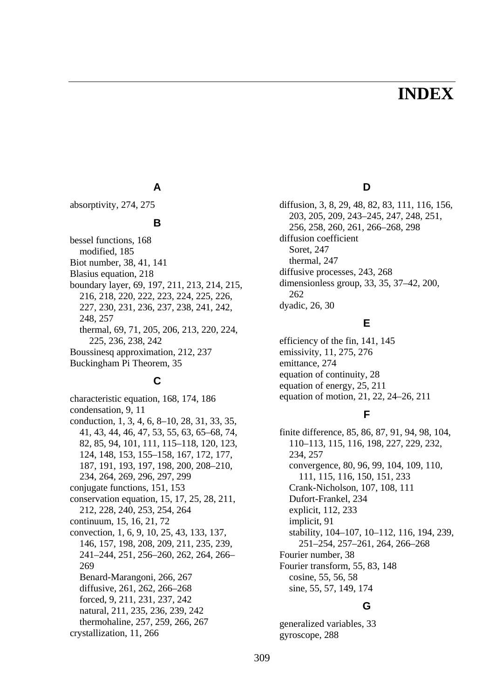# **INDEX**

### **A**

absorptivity, 274, 275

### **B**

bessel functions, 168 modified, 185 Biot number, 38, 41, 141 Blasius equation, 218 boundary layer, 69, 197, 211, 213, 214, 215, 216, 218, 220, 222, 223, 224, 225, 226, 227, 230, 231, 236, 237, 238, 241, 242, 248, 257 thermal, 69, 71, 205, 206, 213, 220, 224, 225, 236, 238, 242 Boussinesq approximation, 212, 237 Buckingham Pi Theorem, 35

# **C**

characteristic equation, 168, 174, 186 condensation, 9, 11 conduction, 1, 3, 4, 6, 8–10, 28, 31, 33, 35, 41, 43, 44, 46, 47, 53, 55, 63, 65–68, 74, 82, 85, 94, 101, 111, 115–118, 120, 123, 124, 148, 153, 155–158, 167, 172, 177, 187, 191, 193, 197, 198, 200, 208–210, 234, 264, 269, 296, 297, 299 conjugate functions, 151, 153 conservation equation, 15, 17, 25, 28, 211, 212, 228, 240, 253, 254, 264 continuum, 15, 16, 21, 72 convection, 1, 6, 9, 10, 25, 43, 133, 137, 146, 157, 198, 208, 209, 211, 235, 239, 241–244, 251, 256–260, 262, 264, 266– 269 Benard-Marangoni, 266, 267 diffusive, 261, 262, 266–268 forced, 9, 211, 231, 237, 242 natural, 211, 235, 236, 239, 242 thermohaline, 257, 259, 266, 267 crystallization, 11, 266

**D** 

diffusion, 3, 8, 29, 48, 82, 83, 111, 116, 156, 203, 205, 209, 243–245, 247, 248, 251, 256, 258, 260, 261, 266–268, 298 diffusion coefficient Soret, 247 thermal, 247 diffusive processes, 243, 268 dimensionless group, 33, 35, 37–42, 200, 262 dyadic, 26, 30

# **E**

efficiency of the fin, 141, 145 emissivity, 11, 275, 276 emittance, 274 equation of continuity, 28 equation of energy, 25, 211 equation of motion, 21, 22, 24–26, 211

# **F**

finite difference, 85, 86, 87, 91, 94, 98, 104, 110–113, 115, 116, 198, 227, 229, 232, 234, 257 convergence, 80, 96, 99, 104, 109, 110, 111, 115, 116, 150, 151, 233 Crank-Nicholson, 107, 108, 111 Dufort-Frankel, 234 explicit, 112, 233 implicit, 91 stability, 104–107, 10–112, 116, 194, 239, 251–254, 257–261, 264, 266–268 Fourier number, 38 Fourier transform, 55, 83, 148 cosine, 55, 56, 58 sine, 55, 57, 149, 174

# **G**

generalized variables, 33 gyroscope, 288